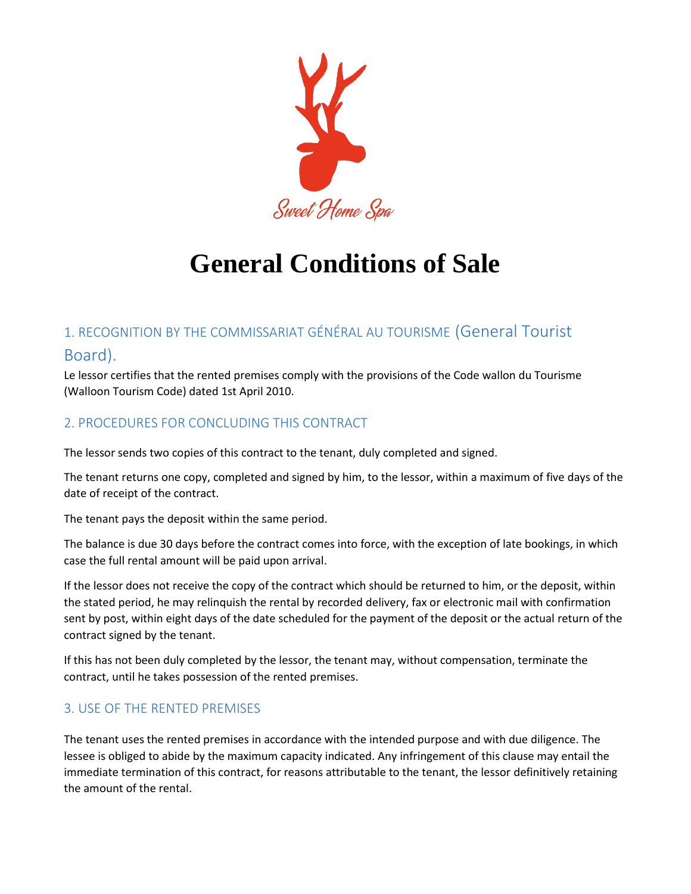

# **General Conditions of Sale**

# 1. RECOGNITION BY THE COMMISSARIAT GÉNÉRAL AU TOURISME (General Tourist Board).

Le lessor certifies that the rented premises comply with the provisions of the Code wallon du Tourisme (Walloon Tourism Code) dated 1st April 2010.

## 2. PROCEDURES FOR CONCLUDING THIS CONTRACT

The lessor sends two copies of this contract to the tenant, duly completed and signed.

The tenant returns one copy, completed and signed by him, to the lessor, within a maximum of five days of the date of receipt of the contract.

The tenant pays the deposit within the same period.

The balance is due 30 days before the contract comes into force, with the exception of late bookings, in which case the full rental amount will be paid upon arrival.

If the lessor does not receive the copy of the contract which should be returned to him, or the deposit, within the stated period, he may relinquish the rental by recorded delivery, fax or electronic mail with confirmation sent by post, within eight days of the date scheduled for the payment of the deposit or the actual return of the contract signed by the tenant.

If this has not been duly completed by the lessor, the tenant may, without compensation, terminate the contract, until he takes possession of the rented premises.

### 3. USE OF THE RENTED PREMISES

The tenant uses the rented premises in accordance with the intended purpose and with due diligence. The lessee is obliged to abide by the maximum capacity indicated. Any infringement of this clause may entail the immediate termination of this contract, for reasons attributable to the tenant, the lessor definitively retaining the amount of the rental.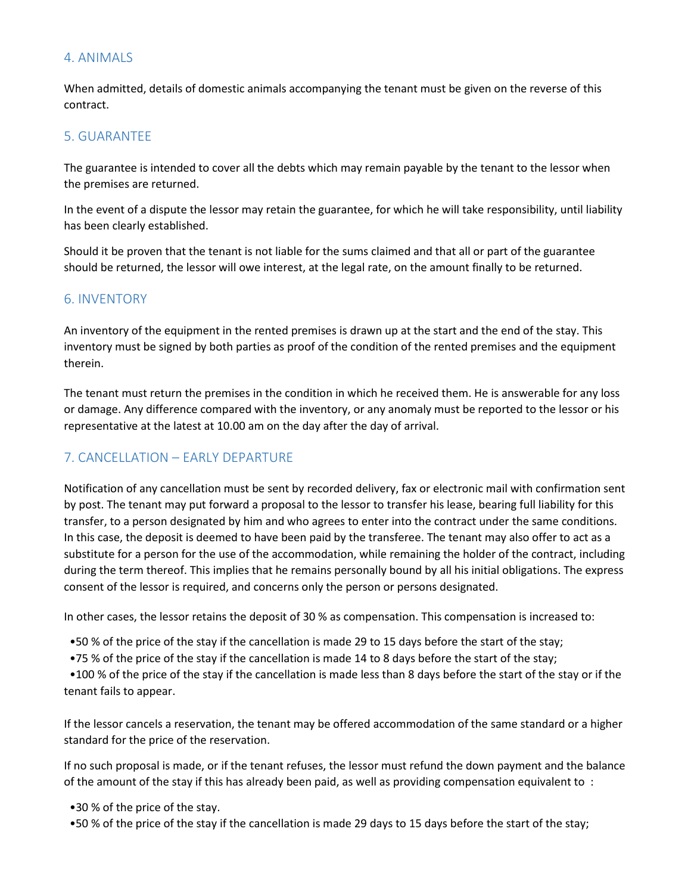#### 4. ANIMALS

When admitted, details of domestic animals accompanying the tenant must be given on the reverse of this contract.

#### 5. GUARANTEE

The guarantee is intended to cover all the debts which may remain payable by the tenant to the lessor when the premises are returned.

In the event of a dispute the lessor may retain the guarantee, for which he will take responsibility, until liability has been clearly established.

Should it be proven that the tenant is not liable for the sums claimed and that all or part of the guarantee should be returned, the lessor will owe interest, at the legal rate, on the amount finally to be returned.

#### 6. INVENTORY

An inventory of the equipment in the rented premises is drawn up at the start and the end of the stay. This inventory must be signed by both parties as proof of the condition of the rented premises and the equipment therein.

The tenant must return the premises in the condition in which he received them. He is answerable for any loss or damage. Any difference compared with the inventory, or any anomaly must be reported to the lessor or his representative at the latest at 10.00 am on the day after the day of arrival.

#### 7. CANCELLATION – EARLY DEPARTURE

Notification of any cancellation must be sent by recorded delivery, fax or electronic mail with confirmation sent by post. The tenant may put forward a proposal to the lessor to transfer his lease, bearing full liability for this transfer, to a person designated by him and who agrees to enter into the contract under the same conditions. In this case, the deposit is deemed to have been paid by the transferee. The tenant may also offer to act as a substitute for a person for the use of the accommodation, while remaining the holder of the contract, including during the term thereof. This implies that he remains personally bound by all his initial obligations. The express consent of the lessor is required, and concerns only the person or persons designated.

In other cases, the lessor retains the deposit of 30 % as compensation. This compensation is increased to:

•50 % of the price of the stay if the cancellation is made 29 to 15 days before the start of the stay;

•75 % of the price of the stay if the cancellation is made 14 to 8 days before the start of the stay;

 •100 % of the price of the stay if the cancellation is made less than 8 days before the start of the stay or if the tenant fails to appear.

If the lessor cancels a reservation, the tenant may be offered accommodation of the same standard or a higher standard for the price of the reservation.

If no such proposal is made, or if the tenant refuses, the lessor must refund the down payment and the balance of the amount of the stay if this has already been paid, as well as providing compensation equivalent to :

•30 % of the price of the stay.

•50 % of the price of the stay if the cancellation is made 29 days to 15 days before the start of the stay;